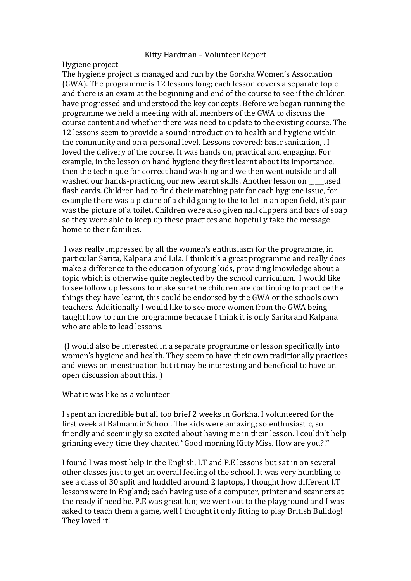## Kitty Hardman – Volunteer Report

## Hygiene project

The hygiene project is managed and run by the Gorkha Women's Association (GWA). The programme is 12 lessons long; each lesson covers a separate topic and there is an exam at the beginning and end of the course to see if the children have progressed and understood the key concepts. Before we began running the programme we held a meeting with all members of the GWA to discuss the course content and whether there was need to update to the existing course. The 12 lessons seem to provide a sound introduction to health and hygiene within the community and on a personal level. Lessons covered: basic sanitation, . I loved the delivery of the course. It was hands on, practical and engaging. For example, in the lesson on hand hygiene they first learnt about its importance, then the technique for correct hand washing and we then went outside and all washed our hands-practicing our new learnt skills. Another lesson on used flash cards. Children had to find their matching pair for each hygiene issue, for example there was a picture of a child going to the toilet in an open field, it's pair was the picture of a toilet. Children were also given nail clippers and bars of soap so they were able to keep up these practices and hopefully take the message home to their families.

I was really impressed by all the women's enthusiasm for the programme, in particular Sarita, Kalpana and Lila. I think it's a great programme and really does make a difference to the education of young kids, providing knowledge about a topic which is otherwise quite neglected by the school curriculum. I would like to see follow up lessons to make sure the children are continuing to practice the things they have learnt, this could be endorsed by the GWA or the schools own teachers. Additionally I would like to see more women from the GWA being taught how to run the programme because I think it is only Sarita and Kalpana who are able to lead lessons.

(I would also be interested in a separate programme or lesson specifically into women's hygiene and health. They seem to have their own traditionally practices and views on menstruation but it may be interesting and beneficial to have an open discussion about this. )

## What it was like as a volunteer

I spent an incredible but all too brief 2 weeks in Gorkha. I volunteered for the first week at Balmandir School. The kids were amazing; so enthusiastic, so friendly and seemingly so excited about having me in their lesson. I couldn't help grinning every time they chanted "Good morning Kitty Miss. How are you?!"

I found I was most help in the English, I.T and P.E lessons but sat in on several other classes just to get an overall feeling of the school. It was very humbling to see a class of 30 split and huddled around 2 laptops, I thought how different I.T lessons were in England; each having use of a computer, printer and scanners at the ready if need be. P.E was great fun; we went out to the playground and I was asked to teach them a game, well I thought it only fitting to play British Bulldog! They loved it!